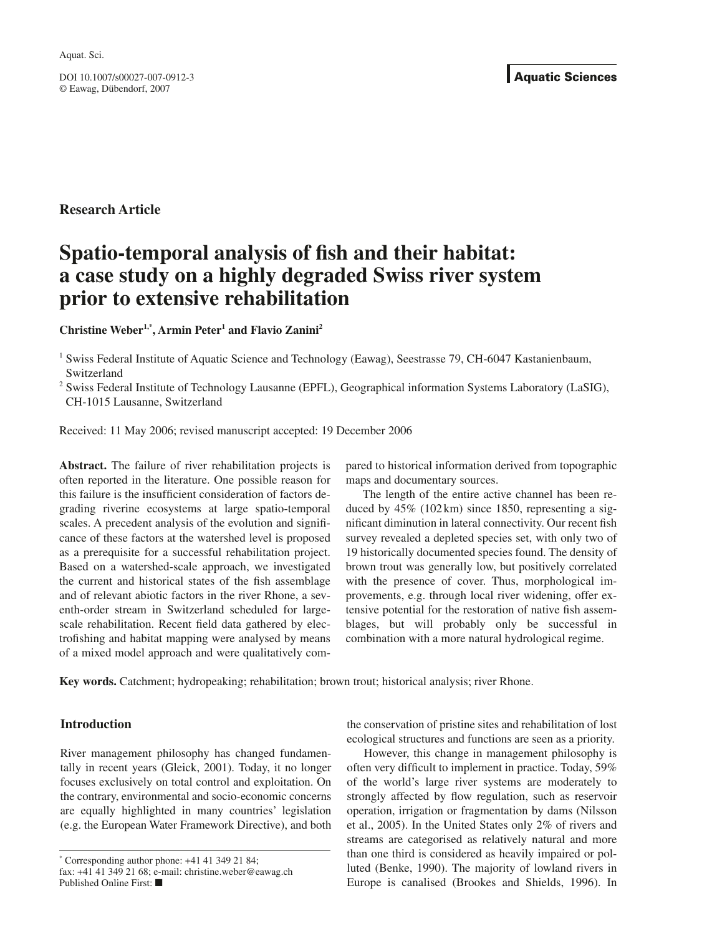DOI 10.1007/s00027-007-0912-3 © Eawag, Dübendorf, 2007

# **Research Article**

# **Spatio-temporal analysis of fish and their habitat: a case study on a highly degraded Swiss river system prior to extensive rehabilitation**

## Christine Weber<sup>1,\*</sup>, Armin Peter<sup>1</sup> and Flavio Zanini<sup>2</sup>

<sup>1</sup> Swiss Federal Institute of Aquatic Science and Technology (Eawag), Seestrasse 79, CH-6047 Kastanienbaum, Switzerland

<sup>2</sup> Swiss Federal Institute of Technology Lausanne (EPFL), Geographical information Systems Laboratory (LaSIG), CH-1015 Lausanne, Switzerland

Received: 11 May 2006; revised manuscript accepted: 19 December 2006

**Abstract.** The failure of river rehabilitation projects is often reported in the literature. One possible reason for this failure is the insufficient consideration of factors degrading riverine ecosystems at large spatio-temporal scales. A precedent analysis of the evolution and significance of these factors at the watershed level is proposed as a prerequisite for a successful rehabilitation project. Based on a watershed-scale approach, we investigated the current and historical states of the fish assemblage and of relevant abiotic factors in the river Rhone, a seventh-order stream in Switzerland scheduled for largescale rehabilitation. Recent field data gathered by electrofishing and habitat mapping were analysed by means of a mixed model approach and were qualitatively com-

pared to historical information derived from topographic maps and documentary sources.

The length of the entire active channel has been reduced by 45% (102 km) since 1850, representing a significant diminution in lateral connectivity. Our recent fish survey revealed a depleted species set, with only two of 19 historically documented species found. The density of brown trout was generally low, but positively correlated with the presence of cover. Thus, morphological improvements, e.g. through local river widening, offer extensive potential for the restoration of native fish assemblages, but will probably only be successful in combination with a more natural hydrological regime.

**Key words.** Catchment; hydropeaking; rehabilitation; brown trout; historical analysis; river Rhone.

## **Introduction**

River management philosophy has changed fundamentally in recent years (Gleick, 2001). Today, it no longer focuses exclusively on total control and exploitation. On the contrary, environmental and socio-economic concerns are equally highlighted in many countries' legislation (e.g. the European Water Framework Directive), and both

\* Corresponding author phone: +41 41 349 21 84; fax: +41 41 349 21 68; e-mail: christine.weber@eawag.ch Published Online First: ■

the conservation of pristine sites and rehabilitation of lost ecological structures and functions are seen as a priority.

However, this change in management philosophy is often very difficult to implement in practice. Today, 59% of the world's large river systems are moderately to strongly affected by flow regulation, such as reservoir operation, irrigation or fragmentation by dams (Nilsson et al., 2005). In the United States only 2% of rivers and streams are categorised as relatively natural and more than one third is considered as heavily impaired or polluted (Benke, 1990). The majority of lowland rivers in Europe is canalised (Brookes and Shields, 1996). In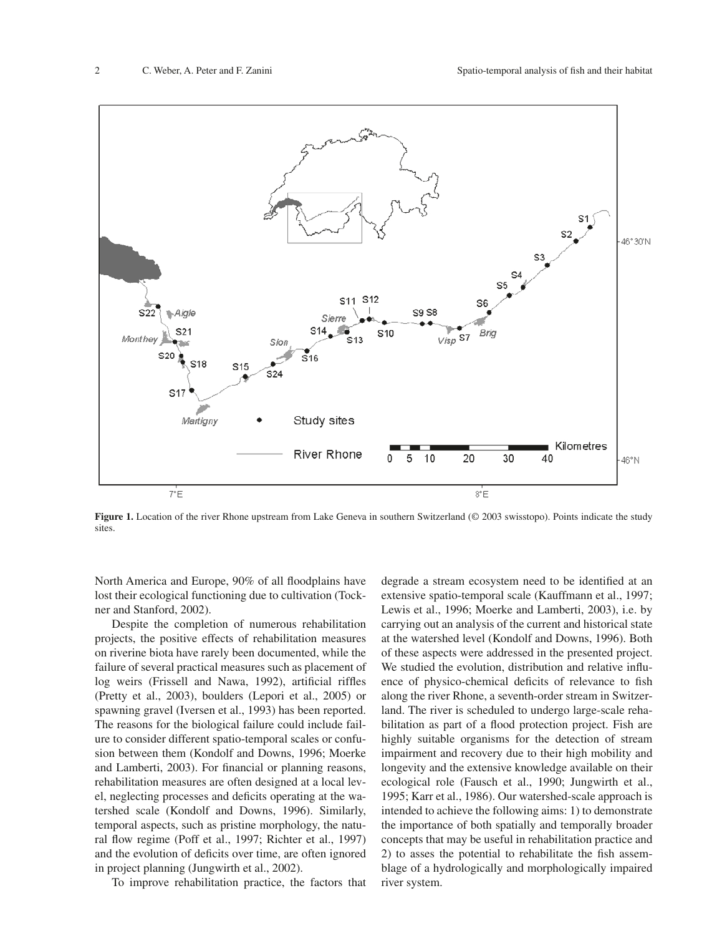

**Figure 1.** Location of the river Rhone upstream from Lake Geneva in southern Switzerland (© 2003 swisstopo). Points indicate the study sites.

North America and Europe, 90% of all floodplains have lost their ecological functioning due to cultivation (Tockner and Stanford, 2002).

Despite the completion of numerous rehabilitation projects, the positive effects of rehabilitation measures on riverine biota have rarely been documented, while the failure of several practical measures such as placement of log weirs (Frissell and Nawa, 1992), artificial riffles (Pretty et al., 2003), boulders (Lepori et al., 2005) or spawning gravel (Iversen et al., 1993) has been reported. The reasons for the biological failure could include failure to consider different spatio-temporal scales or confusion between them (Kondolf and Downs, 1996; Moerke and Lamberti, 2003). For financial or planning reasons, rehabilitation measures are often designed at a local level, neglecting processes and deficits operating at the watershed scale (Kondolf and Downs, 1996). Similarly, temporal aspects, such as pristine morphology, the natural flow regime (Poff et al., 1997; Richter et al., 1997) and the evolution of deficits over time, are often ignored in project planning (Jungwirth et al., 2002).

To improve rehabilitation practice, the factors that

degrade a stream ecosystem need to be identified at an extensive spatio-temporal scale (Kauffmann et al., 1997; Lewis et al., 1996; Moerke and Lamberti, 2003), i.e. by carrying out an analysis of the current and historical state at the watershed level (Kondolf and Downs, 1996). Both of these aspects were addressed in the presented project. We studied the evolution, distribution and relative influence of physico-chemical deficits of relevance to fish along the river Rhone, a seventh-order stream in Switzerland. The river is scheduled to undergo large-scale rehabilitation as part of a flood protection project. Fish are highly suitable organisms for the detection of stream impairment and recovery due to their high mobility and longevity and the extensive knowledge available on their ecological role (Fausch et al., 1990; Jungwirth et al., 1995; Karr et al., 1986). Our watershed-scale approach is intended to achieve the following aims: 1) to demonstrate the importance of both spatially and temporally broader concepts that may be useful in rehabilitation practice and 2) to asses the potential to rehabilitate the fish assemblage of a hydrologically and morphologically impaired river system.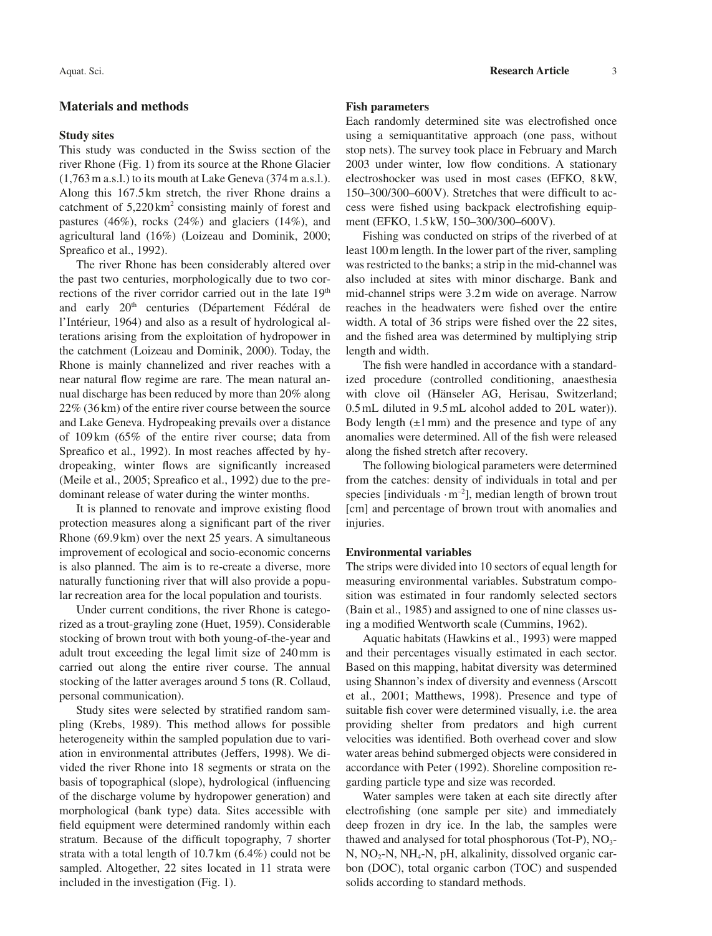## **Materials and methods**

#### **Study sites**

This study was conducted in the Swiss section of the river Rhone (Fig. 1) from its source at the Rhone Glacier (1,763 m a.s.l.) to its mouth at Lake Geneva (374 m a.s.l.). Along this 167.5 km stretch, the river Rhone drains a catchment of  $5,220 \text{ km}^2$  consisting mainly of forest and pastures (46%), rocks (24%) and glaciers (14%), and agricultural land (16%) (Loizeau and Dominik, 2000; Spreafico et al., 1992).

The river Rhone has been considerably altered over the past two centuries, morphologically due to two corrections of the river corridor carried out in the late  $19<sup>th</sup>$ and early 20<sup>th</sup> centuries (Département Fédéral de l'Intérieur, 1964) and also as a result of hydrological alterations arising from the exploitation of hydropower in the catchment (Loizeau and Dominik, 2000). Today, the Rhone is mainly channelized and river reaches with a near natural flow regime are rare. The mean natural annual discharge has been reduced by more than 20% along 22% (36 km) of the entire river course between the source and Lake Geneva. Hydropeaking prevails over a distance of 109 km (65% of the entire river course; data from Spreafico et al., 1992). In most reaches affected by hydropeaking, winter flows are significantly increased (Meile et al., 2005; Spreafico et al., 1992) due to the predominant release of water during the winter months.

It is planned to renovate and improve existing flood protection measures along a significant part of the river Rhone (69.9 km) over the next 25 years. A simultaneous improvement of ecological and socio-economic concerns is also planned. The aim is to re-create a diverse, more naturally functioning river that will also provide a popular recreation area for the local population and tourists.

Under current conditions, the river Rhone is categorized as a trout-grayling zone (Huet, 1959). Considerable stocking of brown trout with both young-of-the-year and adult trout exceeding the legal limit size of 240 mm is carried out along the entire river course. The annual stocking of the latter averages around 5 tons (R. Collaud, personal communication).

Study sites were selected by stratified random sampling (Krebs, 1989). This method allows for possible heterogeneity within the sampled population due to variation in environmental attributes (Jeffers, 1998). We divided the river Rhone into 18 segments or strata on the basis of topographical (slope), hydrological (influencing of the discharge volume by hydropower generation) and morphological (bank type) data. Sites accessible with field equipment were determined randomly within each stratum. Because of the difficult topography, 7 shorter strata with a total length of 10.7 km (6.4%) could not be sampled. Altogether, 22 sites located in 11 strata were included in the investigation (Fig. 1).

#### **Fish parameters**

Each randomly determined site was electrofished once using a semiquantitative approach (one pass, without stop nets). The survey took place in February and March 2003 under winter, low flow conditions. A stationary electroshocker was used in most cases (EFKO, 8 kW,  $150-300/300-600$  V). Stretches that were difficult to access were fished using backpack electrofishing equipment (EFKO, 1.5 kW, 150–300/300–600 V).

Fishing was conducted on strips of the riverbed of at least 100 m length. In the lower part of the river, sampling was restricted to the banks; a strip in the mid-channel was also included at sites with minor discharge. Bank and mid-channel strips were 3.2 m wide on average. Narrow reaches in the headwaters were fished over the entire width. A total of 36 strips were fished over the 22 sites, and the fished area was determined by multiplying strip length and width.

The fish were handled in accordance with a standardized procedure (controlled conditioning, anaesthesia with clove oil (Hänseler AG, Herisau, Switzerland; 0.5 mL diluted in 9.5 mL alcohol added to 20 L water). Body length  $(\pm 1 \text{ mm})$  and the presence and type of any anomalies were determined. All of the fish were released along the fished stretch after recovery.

The following biological parameters were determined from the catches: density of individuals in total and per species [individuals  $\cdot$  m<sup>-2</sup>], median length of brown trout [cm] and percentage of brown trout with anomalies and injuries.

#### **Environmental variables**

The strips were divided into 10 sectors of equal length for measuring environmental variables. Substratum composition was estimated in four randomly selected sectors (Bain et al., 1985) and assigned to one of nine classes using a modified Wentworth scale (Cummins, 1962).

Aquatic habitats (Hawkins et al., 1993) were mapped and their percentages visually estimated in each sector. Based on this mapping, habitat diversity was determined using Shannon's index of diversity and evenness (Arscott et al., 2001; Matthews, 1998). Presence and type of suitable fish cover were determined visually, i.e. the area providing shelter from predators and high current velocities was identified. Both overhead cover and slow water areas behind submerged objects were considered in accordance with Peter (1992). Shoreline composition regarding particle type and size was recorded.

Water samples were taken at each site directly after electrofishing (one sample per site) and immediately deep frozen in dry ice. In the lab, the samples were thawed and analysed for total phosphorous (Tot-P),  $NO<sub>3</sub>$ - $N, NO<sub>2</sub>-N, NH<sub>4</sub>-N, pH, alkalinity, dissolved organic car$ bon (DOC), total organic carbon (TOC) and suspended solids according to standard methods.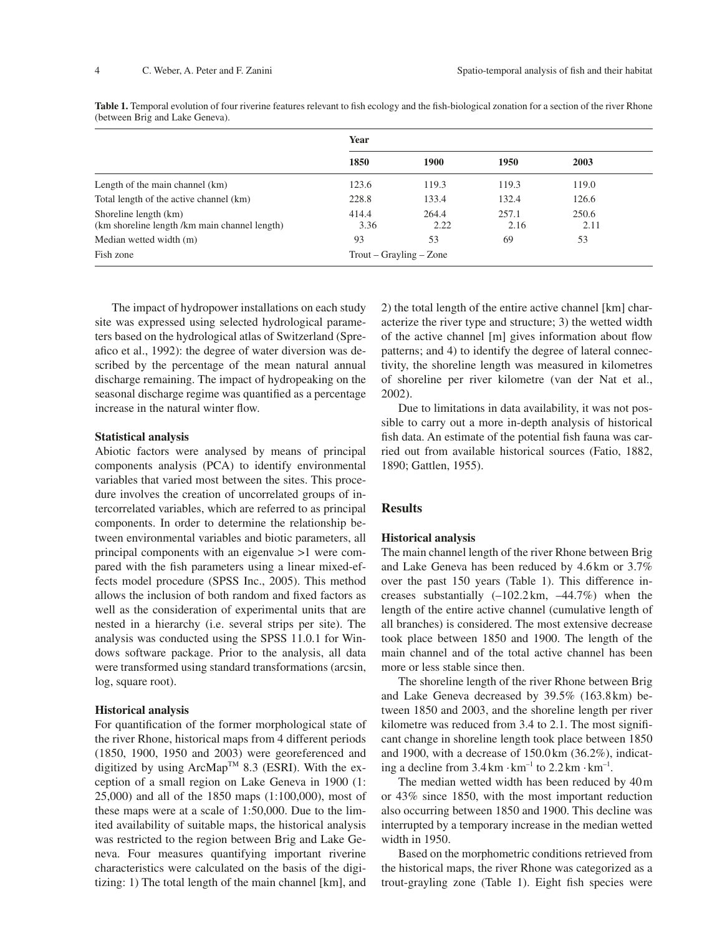|                                                                        | Year                                |               |               |               |  |
|------------------------------------------------------------------------|-------------------------------------|---------------|---------------|---------------|--|
|                                                                        | 1850                                | 1900          | 1950          | 2003          |  |
| Length of the main channel (km)                                        | 123.6                               | 119.3         | 119.3         | 119.0         |  |
| Total length of the active channel (km)                                | 228.8                               | 133.4         | 132.4         | 126.6         |  |
| Shoreline length (km)<br>(km shoreline length /km main channel length) | 414.4<br>3.36                       | 264.4<br>2.22 | 257.1<br>2.16 | 250.6<br>2.11 |  |
| Median wetted width (m)                                                | 93                                  | 53            | 69            | 53            |  |
| Fish zone                                                              | $T_{\text{r}o} -$ Grayling $-$ Zone |               |               |               |  |

Table 1. Temporal evolution of four riverine features relevant to fish ecology and the fish-biological zonation for a section of the river Rhone (between Brig and Lake Geneva).

The impact of hydropower installations on each study site was expressed using selected hydrological parameters based on the hydrological atlas of Switzerland (Spreafico et al., 1992): the degree of water diversion was described by the percentage of the mean natural annual discharge remaining. The impact of hydropeaking on the seasonal discharge regime was quantified as a percentage increase in the natural winter flow.

#### **Statistical analysis**

Abiotic factors were analysed by means of principal components analysis (PCA) to identify environmental variables that varied most between the sites. This procedure involves the creation of uncorrelated groups of intercorrelated variables, which are referred to as principal components. In order to determine the relationship between environmental variables and biotic parameters, all principal components with an eigenvalue >1 were compared with the fish parameters using a linear mixed-effects model procedure (SPSS Inc., 2005). This method allows the inclusion of both random and fixed factors as well as the consideration of experimental units that are nested in a hierarchy (i.e. several strips per site). The analysis was conducted using the SPSS 11.0.1 for Windows software package. Prior to the analysis, all data were transformed using standard transformations (arcsin, log, square root).

#### **Historical analysis**

For quantification of the former morphological state of the river Rhone, historical maps from 4 different periods (1850, 1900, 1950 and 2003) were georeferenced and digitized by using  $ArcMap^{TM}$  8.3 (ESRI). With the exception of a small region on Lake Geneva in 1900 (1: 25,000) and all of the 1850 maps (1:100,000), most of these maps were at a scale of 1:50,000. Due to the limited availability of suitable maps, the historical analysis was restricted to the region between Brig and Lake Geneva. Four measures quantifying important riverine characteristics were calculated on the basis of the digitizing: 1) The total length of the main channel [km], and

2) the total length of the entire active channel [km] characterize the river type and structure; 3) the wetted width of the active channel [m] gives information about flow patterns; and 4) to identify the degree of lateral connectivity, the shoreline length was measured in kilometres of shoreline per river kilometre (van der Nat et al., 2002).

Due to limitations in data availability, it was not possible to carry out a more in-depth analysis of historical fish data. An estimate of the potential fish fauna was carried out from available historical sources (Fatio, 1882, 1890; Gattlen, 1955).

#### **Results**

#### **Historical analysis**

The main channel length of the river Rhone between Brig and Lake Geneva has been reduced by 4.6 km or 3.7% over the past 150 years (Table 1). This difference increases substantially  $(-102.2 \text{ km}, -44.7\%)$  when the length of the entire active channel (cumulative length of all branches) is considered. The most extensive decrease took place between 1850 and 1900. The length of the main channel and of the total active channel has been more or less stable since then.

The shoreline length of the river Rhone between Brig and Lake Geneva decreased by 39.5% (163.8 km) between 1850 and 2003, and the shoreline length per river kilometre was reduced from 3.4 to 2.1. The most significant change in shoreline length took place between 1850 and 1900, with a decrease of 150.0 km (36.2%), indicating a decline from  $3.4 \text{ km} \cdot \text{km}^{-1}$  to  $2.2 \text{ km} \cdot \text{km}^{-1}$ .

The median wetted width has been reduced by 40 m or 43% since 1850, with the most important reduction also occurring between 1850 and 1900. This decline was interrupted by a temporary increase in the median wetted width in 1950.

Based on the morphometric conditions retrieved from the historical maps, the river Rhone was categorized as a trout-grayling zone (Table 1). Eight fish species were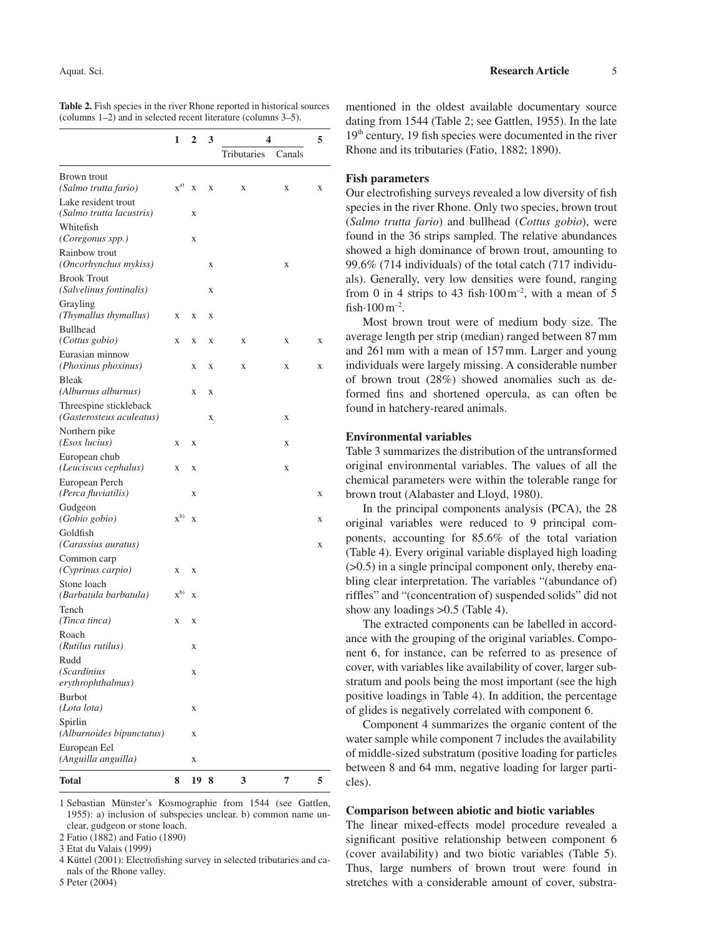|                                                    | 1<br>$\mathbf{2}$ |                         | 3 | 4           | 5      |   |
|----------------------------------------------------|-------------------|-------------------------|---|-------------|--------|---|
|                                                    |                   |                         |   | Tributaries | Canals |   |
| Brown trout                                        |                   |                         |   |             |        |   |
| (Salmo trutta fario)                               | $x^{a)}$          | X                       | X | X           | X      | X |
| Lake resident trout<br>(Salmo trutta lacustris)    |                   | X                       |   |             |        |   |
| Whitefish<br>(Coregonus spp.)                      |                   | X                       |   |             |        |   |
| Rainbow trout<br>(Oncorhynchus mykiss)             |                   |                         | X |             | X      |   |
| <b>Brook Trout</b><br>(Salvelinus fontinalis)      |                   |                         | X |             |        |   |
| Grayling<br>(Thymallus thymallus)                  | X                 | X                       | X |             |        |   |
| <b>Bullhead</b><br>(Cottus gobio)                  | X                 | X                       | X | X           | X      | X |
| Eurasian minnow<br>(Phoxinus phoxinus)             |                   | X                       | X | X           | X      | X |
| <b>Bleak</b><br>(Alburnus alburnus)                |                   | X                       | X |             |        |   |
| Threespine stickleback<br>(Gasterosteus aculeatus) |                   |                         | X |             | X      |   |
| Northern pike<br>(Esox lucius)                     | X                 | X                       |   |             | X      |   |
| European chub<br>(Leuciscus cephalus)              | X                 | X                       |   |             | X      |   |
| European Perch<br>(Perca fluviatilis)              |                   | X                       |   |             |        | X |
| Gudgeon<br>(Gobio gobio)                           | $x^{b)}$          | $\overline{\mathbf{X}}$ |   |             |        | X |
| Goldfish<br>(Carassius auratus)                    |                   |                         |   |             |        | X |
| Common carp<br>(Cyprinus carpio)                   | X                 | X                       |   |             |        |   |
| Stone loach<br>(Barbatula barbatula)               | $x^{b)}$          | X                       |   |             |        |   |
| Tench<br>(Tinca tinca)                             | X                 | X                       |   |             |        |   |
| Roach<br>(Rutilus rutilus)                         |                   | X                       |   |             |        |   |
| Rudd<br>(Scardinius                                |                   | X                       |   |             |        |   |
| erythrophthalmus)                                  |                   |                         |   |             |        |   |
| <b>Burbot</b><br>(Lota lota)                       |                   | X                       |   |             |        |   |
| Spirlin<br>(Alburnoides bipunctatus)               |                   | X                       |   |             |        |   |
| European Eel<br>(Anguilla anguilla)                |                   | X                       |   |             |        |   |
| Total                                              | 8                 | 19                      | 8 | 3           | 7      | 5 |

**Table 2.** Fish species in the river Rhone reported in historical sources (columns 1–2) and in selected recent literature (columns 3–5).

1 Sebastian Münster's Kosmographie from 1544 (see Gattlen, 1955): a) inclusion of subspecies unclear. b) common name unclear, gudgeon or stone loach.

2 Fatio (1882) and Fatio (1890)

3 Etat du Valais (1999)

4 Küttel (2001): Electrofishing survey in selected tributaries and canals of the Rhone valley.

5 Peter (2004)

mentioned in the oldest available documentary source dating from 1544 (Table 2; see Gattlen, 1955). In the late  $19<sup>th</sup>$  century, 19 fish species were documented in the river Rhone and its tributaries (Fatio, 1882; 1890).

## **Fish parameters**

Our electrofishing surveys revealed a low diversity of fish species in the river Rhone. Only two species, brown trout (*Salmo trutta fario*) and bullhead (*Cottus gobio*), were found in the 36 strips sampled. The relative abundances showed a high dominance of brown trout, amounting to 99.6% (714 individuals) of the total catch (717 individuals). Generally, very low densities were found, ranging from 0 in 4 strips to 43 fish $\cdot$ 100 m<sup>-2</sup>, with a mean of 5 fish $\cdot$ 100 m<sup>-2</sup>.

Most brown trout were of medium body size. The average length per strip (median) ranged between 87 mm and 261 mm with a mean of 157 mm. Larger and young individuals were largely missing. A considerable number of brown trout (28%) showed anomalies such as deformed fins and shortened opercula, as can often be found in hatchery-reared animals.

#### **Environmental variables**

Table 3 summarizes the distribution of the untransformed original environmental variables. The values of all the chemical parameters were within the tolerable range for brown trout (Alabaster and Lloyd, 1980).

In the principal components analysis (PCA), the 28 original variables were reduced to 9 principal components, accounting for 85.6% of the total variation (Table 4). Every original variable displayed high loading (>0.5) in a single principal component only, thereby enabling clear interpretation. The variables "(abundance of) riffles" and "(concentration of) suspended solids" did not show any loadings >0.5 (Table 4).

The extracted components can be labelled in accordance with the grouping of the original variables. Component 6, for instance, can be referred to as presence of cover, with variables like availability of cover, larger substratum and pools being the most important (see the high positive loadings in Table 4). In addition, the percentage of glides is negatively correlated with component 6.

Component 4 summarizes the organic content of the water sample while component 7 includes the availability of middle-sized substratum (positive loading for particles between 8 and 64 mm, negative loading for larger particles).

#### **Comparison between abiotic and biotic variables**

The linear mixed-effects model procedure revealed a significant positive relationship between component 6 (cover availability) and two biotic variables (Table 5). Thus, large numbers of brown trout were found in stretches with a considerable amount of cover, substra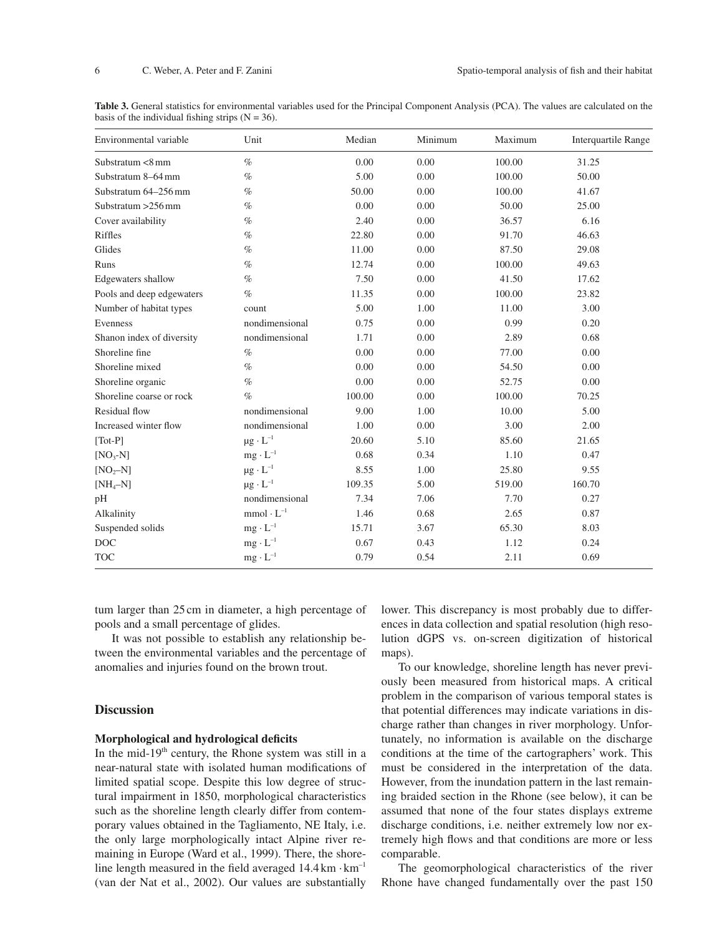**Table 3.** General statistics for environmental variables used for the Principal Component Analysis (PCA). The values are calculated on the basis of the individual fishing strips  $(N = 36)$ .

| Environmental variable       | Unit                 | Median | Minimum | Maximum | <b>Interquartile Range</b> |
|------------------------------|----------------------|--------|---------|---------|----------------------------|
| Substratum <8 mm             | $\%$                 | 0.00   | 0.00    | 100.00  | 31.25                      |
| Substratum 8-64 mm           | $\%$                 | 5.00   | 0.00    | 100.00  | 50.00                      |
| Substratum 64-256 mm         | $\%$                 | 50.00  | 0.00    | 100.00  | 41.67                      |
| Substratum $>256$ mm         | $\%$                 | 0.00   | 0.00    | 50.00   | 25.00                      |
| Cover availability           | $\%$                 | 2.40   | 0.00    | 36.57   | 6.16                       |
| Riffles                      | $\%$                 | 22.80  | 0.00    | 91.70   | 46.63                      |
| Glides                       | $\%$                 | 11.00  | 0.00    | 87.50   | 29.08                      |
| Runs                         | $\%$                 | 12.74  | 0.00    | 100.00  | 49.63                      |
| Edgewaters shallow           | $\%$                 | 7.50   | 0.00    | 41.50   | 17.62                      |
| Pools and deep edgewaters    | $\%$                 | 11.35  | 0.00    | 100.00  | 23.82                      |
| Number of habitat types      | count                | 5.00   | 1.00    | 11.00   | 3.00                       |
| Evenness                     | nondimensional       | 0.75   | 0.00    | 0.99    | 0.20                       |
| Shanon index of diversity    | nondimensional       | 1.71   | 0.00    | 2.89    | 0.68                       |
| Shoreline fine               | $\%$                 | 0.00   | 0.00    | 77.00   | 0.00                       |
| Shoreline mixed              | $\%$                 | 0.00   | 0.00    | 54.50   | 0.00                       |
| Shoreline organic            | $\%$                 | 0.00   | 0.00    | 52.75   | 0.00                       |
| Shoreline coarse or rock     | $\%$                 | 100.00 | 0.00    | 100.00  | 70.25                      |
| Residual flow                | nondimensional       | 9.00   | 1.00    | 10.00   | 5.00                       |
| Increased winter flow        | nondimensional       | 1.00   | 0.00    | 3.00    | 2.00                       |
| $\lceil \text{Tot-P} \rceil$ | $\mu g \cdot L^{-1}$ | 20.60  | 5.10    | 85.60   | 21.65                      |
| $[NO3-N]$                    | $mg \cdot L^{-1}$    | 0.68   | 0.34    | 1.10    | 0.47                       |
| $[NO2-N]$                    | $\mu g \cdot L^{-1}$ | 8.55   | 1.00    | 25.80   | 9.55                       |
| $[NH_4-N]$                   | $\mu g \cdot L^{-1}$ | 109.35 | 5.00    | 519.00  | 160.70                     |
| pH                           | nondimensional       | 7.34   | 7.06    | 7.70    | 0.27                       |
| Alkalinity                   | $mmol\cdot L^{-1}$   | 1.46   | 0.68    | 2.65    | 0.87                       |
| Suspended solids             | $\rm mg\cdot L^{-1}$ | 15.71  | 3.67    | 65.30   | 8.03                       |
| <b>DOC</b>                   | $mg \cdot L^{-1}$    | 0.67   | 0.43    | 1.12    | 0.24                       |
| <b>TOC</b>                   | $mg \cdot L^{-1}$    | 0.79   | 0.54    | 2.11    | 0.69                       |

tum larger than 25 cm in diameter, a high percentage of pools and a small percentage of glides.

It was not possible to establish any relationship between the environmental variables and the percentage of anomalies and injuries found on the brown trout.

## **Discussion**

### **Morphological and hydrological deficits**

In the mid-19<sup>th</sup> century, the Rhone system was still in a near-natural state with isolated human modifications of limited spatial scope. Despite this low degree of structural impairment in 1850, morphological characteristics such as the shoreline length clearly differ from contemporary values obtained in the Tagliamento, NE Italy, i.e. the only large morphologically intact Alpine river remaining in Europe (Ward et al., 1999). There, the shoreline length measured in the field averaged  $14.4 \text{ km} \cdot \text{km}^{-1}$ (van der Nat et al., 2002). Our values are substantially lower. This discrepancy is most probably due to differences in data collection and spatial resolution (high resolution dGPS vs. on-screen digitization of historical maps).

To our knowledge, shoreline length has never previously been measured from historical maps. A critical problem in the comparison of various temporal states is that potential differences may indicate variations in discharge rather than changes in river morphology. Unfortunately, no information is available on the discharge conditions at the time of the cartographers' work. This must be considered in the interpretation of the data. However, from the inundation pattern in the last remaining braided section in the Rhone (see below), it can be assumed that none of the four states displays extreme discharge conditions, i.e. neither extremely low nor extremely high flows and that conditions are more or less comparable.

The geomorphological characteristics of the river Rhone have changed fundamentally over the past 150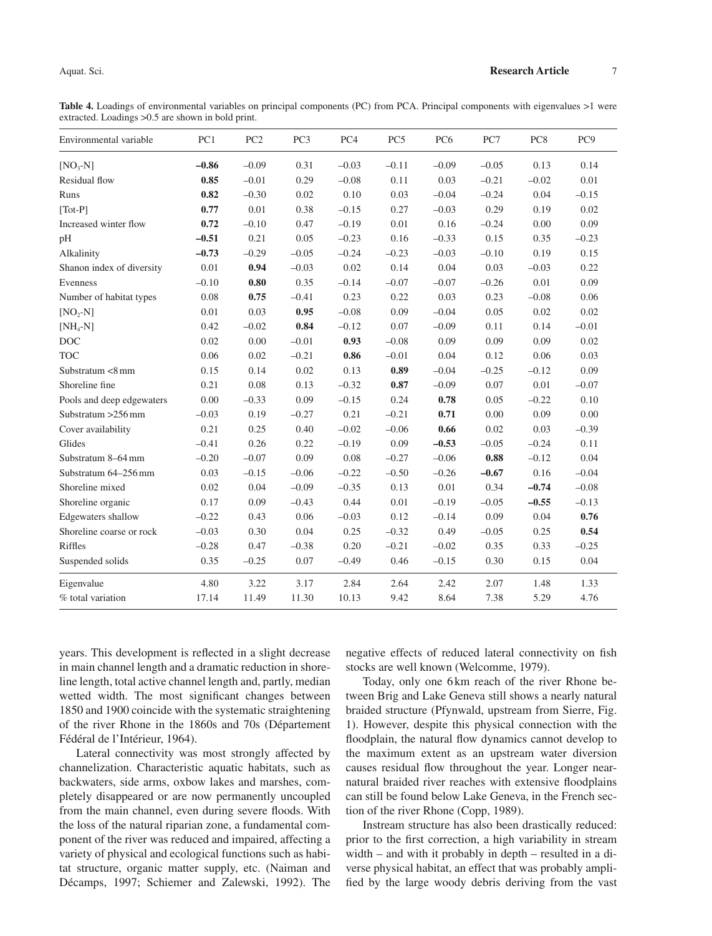Table 4. Loadings of environmental variables on principal components (PC) from PCA. Principal components with eigenvalues >1 were extracted. Loadings >0.5 are shown in bold print.

| Environmental variable       | PC1      | PC <sub>2</sub> | PC <sub>3</sub> | PC <sub>4</sub> | PC <sub>5</sub> | PC <sub>6</sub> | PC7     | PC8     | PC <sub>9</sub> |
|------------------------------|----------|-----------------|-----------------|-----------------|-----------------|-----------------|---------|---------|-----------------|
| $[NO3-N]$                    | $-0.86$  | $-0.09$         | 0.31            | $-0.03$         | $-0.11$         | $-0.09$         | $-0.05$ | 0.13    | 0.14            |
| Residual flow                | 0.85     | $-0.01$         | 0.29            | $-0.08$         | 0.11            | 0.03            | $-0.21$ | $-0.02$ | 0.01            |
| Runs                         | 0.82     | $-0.30$         | 0.02            | 0.10            | 0.03            | $-0.04$         | $-0.24$ | 0.04    | $-0.15$         |
| $\lceil \text{Tot-P} \rceil$ | 0.77     | $0.01\,$        | 0.38            | $-0.15$         | 0.27            | $-0.03$         | 0.29    | 0.19    | 0.02            |
| Increased winter flow        | 0.72     | $-0.10$         | 0.47            | $-0.19$         | 0.01            | 0.16            | $-0.24$ | 0.00    | 0.09            |
| pH                           | $-0.51$  | 0.21            | 0.05            | $-0.23$         | 0.16            | $-0.33$         | 0.15    | 0.35    | $-0.23$         |
| Alkalinity                   | $-0.73$  | $-0.29$         | $-0.05$         | $-0.24$         | $-0.23$         | $-0.03$         | $-0.10$ | 0.19    | 0.15            |
| Shanon index of diversity    | 0.01     | 0.94            | $-0.03$         | 0.02            | 0.14            | 0.04            | 0.03    | $-0.03$ | 0.22            |
| Evenness                     | $-0.10$  | 0.80            | 0.35            | $-0.14$         | $-0.07$         | $-0.07$         | $-0.26$ | 0.01    | 0.09            |
| Number of habitat types      | $0.08\,$ | 0.75            | $-0.41$         | 0.23            | 0.22            | 0.03            | 0.23    | $-0.08$ | 0.06            |
| $[NO2-N]$                    | 0.01     | 0.03            | 0.95            | $-0.08$         | 0.09            | $-0.04$         | 0.05    | 0.02    | 0.02            |
| $[NH_4-N]$                   | 0.42     | $-0.02$         | 0.84            | $-0.12$         | 0.07            | $-0.09$         | 0.11    | 0.14    | $-0.01$         |
| <b>DOC</b>                   | 0.02     | 0.00            | $-0.01$         | 0.93            | $-0.08$         | 0.09            | 0.09    | 0.09    | 0.02            |
| <b>TOC</b>                   | 0.06     | 0.02            | $-0.21$         | $\bf 0.86$      | $-0.01$         | 0.04            | 0.12    | 0.06    | 0.03            |
| Substratum <8 mm             | 0.15     | 0.14            | 0.02            | 0.13            | 0.89            | $-0.04$         | $-0.25$ | $-0.12$ | 0.09            |
| Shoreline fine               | 0.21     | 0.08            | 0.13            | $-0.32$         | 0.87            | $-0.09$         | 0.07    | 0.01    | $-0.07$         |
| Pools and deep edgewaters    | $0.00\,$ | $-0.33$         | 0.09            | $-0.15$         | 0.24            | 0.78            | 0.05    | $-0.22$ | 0.10            |
| Substratum $>256$ mm         | $-0.03$  | 0.19            | $-0.27$         | 0.21            | $-0.21$         | 0.71            | 0.00    | 0.09    | 0.00            |
| Cover availability           | 0.21     | 0.25            | 0.40            | $-0.02$         | $-0.06$         | 0.66            | 0.02    | 0.03    | $-0.39$         |
| Glides                       | $-0.41$  | 0.26            | 0.22            | $-0.19$         | 0.09            | $-0.53$         | $-0.05$ | $-0.24$ | 0.11            |
| Substratum 8-64 mm           | $-0.20$  | $-0.07$         | 0.09            | 0.08            | $-0.27$         | $-0.06$         | 0.88    | $-0.12$ | 0.04            |
| Substratum 64-256 mm         | 0.03     | $-0.15$         | $-0.06$         | $-0.22$         | $-0.50$         | $-0.26$         | $-0.67$ | 0.16    | $-0.04$         |
| Shoreline mixed              | 0.02     | 0.04            | $-0.09$         | $-0.35$         | 0.13            | 0.01            | 0.34    | $-0.74$ | $-0.08$         |
| Shoreline organic            | 0.17     | 0.09            | $-0.43$         | 0.44            | 0.01            | $-0.19$         | $-0.05$ | $-0.55$ | $-0.13$         |
| <b>Edgewaters</b> shallow    | $-0.22$  | 0.43            | 0.06            | $-0.03$         | 0.12            | $-0.14$         | 0.09    | 0.04    | 0.76            |
| Shoreline coarse or rock     | $-0.03$  | 0.30            | 0.04            | 0.25            | $-0.32$         | 0.49            | $-0.05$ | 0.25    | 0.54            |
| Riffles                      | $-0.28$  | 0.47            | $-0.38$         | 0.20            | $-0.21$         | $-0.02$         | 0.35    | 0.33    | $-0.25$         |
| Suspended solids             | 0.35     | $-0.25$         | 0.07            | $-0.49$         | 0.46            | $-0.15$         | 0.30    | 0.15    | 0.04            |
| Eigenvalue                   | 4.80     | 3.22            | 3.17            | 2.84            | 2.64            | 2.42            | 2.07    | 1.48    | 1.33            |
| % total variation            | 17.14    | 11.49           | 11.30           | 10.13           | 9.42            | 8.64            | 7.38    | 5.29    | 4.76            |

years. This development is reflected in a slight decrease in main channel length and a dramatic reduction in shoreline length, total active channel length and, partly, median wetted width. The most significant changes between 1850 and 1900 coincide with the systematic straightening of the river Rhone in the 1860s and 70s (Département Fédéral de l'Intérieur, 1964).

Lateral connectivity was most strongly affected by channelization. Characteristic aquatic habitats, such as backwaters, side arms, oxbow lakes and marshes, completely disappeared or are now permanently uncoupled from the main channel, even during severe floods. With the loss of the natural riparian zone, a fundamental component of the river was reduced and impaired, affecting a variety of physical and ecological functions such as habitat structure, organic matter supply, etc. (Naiman and Décamps, 1997; Schiemer and Zalewski, 1992). The

negative effects of reduced lateral connectivity on fish stocks are well known (Welcomme, 1979).

Today, only one 6 km reach of the river Rhone between Brig and Lake Geneva still shows a nearly natural braided structure (Pfynwald, upstream from Sierre, Fig. 1). However, despite this physical connection with the floodplain, the natural flow dynamics cannot develop to the maximum extent as an upstream water diversion causes residual flow throughout the year. Longer nearnatural braided river reaches with extensive floodplains can still be found below Lake Geneva, in the French section of the river Rhone (Copp, 1989).

Instream structure has also been drastically reduced: prior to the first correction, a high variability in stream width – and with it probably in depth – resulted in a diverse physical habitat, an effect that was probably amplified by the large woody debris deriving from the vast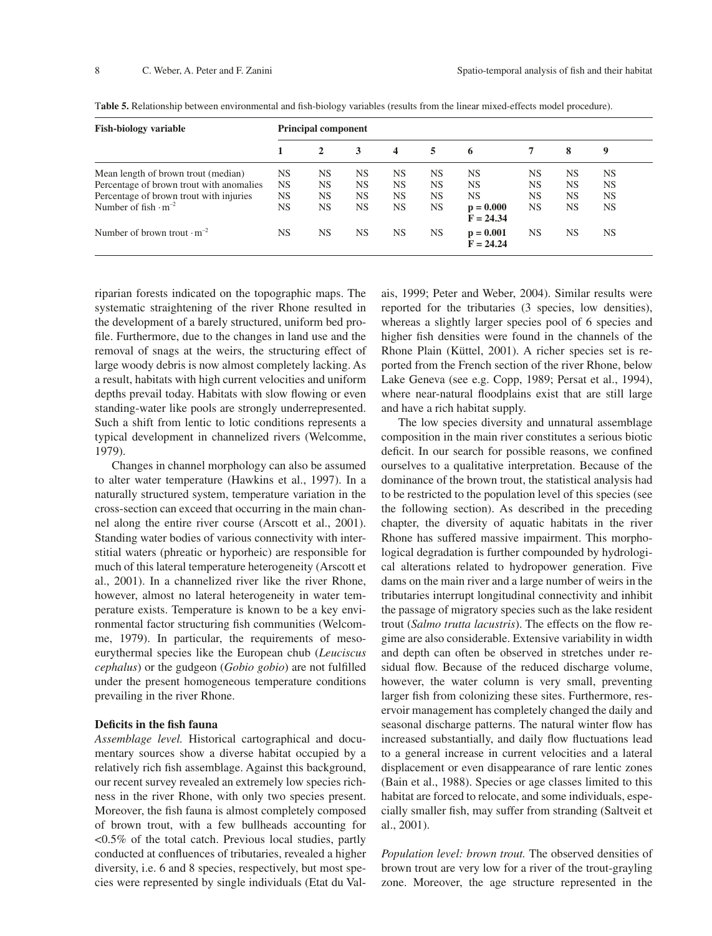| <b>Fish-biology variable</b>                  | <b>Principal component</b> |           |           |           |           |                            |           |           |           |  |
|-----------------------------------------------|----------------------------|-----------|-----------|-----------|-----------|----------------------------|-----------|-----------|-----------|--|
|                                               |                            | 2         | 3         | 4         | 5         | 6                          | 7         | 8         | 9         |  |
| Mean length of brown trout (median)           | NS                         | <b>NS</b> | <b>NS</b> | <b>NS</b> | <b>NS</b> | <b>NS</b>                  | NS        | <b>NS</b> | <b>NS</b> |  |
| Percentage of brown trout with anomalies      | <b>NS</b>                  | <b>NS</b> | <b>NS</b> | <b>NS</b> | <b>NS</b> | <b>NS</b>                  | <b>NS</b> | <b>NS</b> | <b>NS</b> |  |
| Percentage of brown trout with injuries       | NS                         | <b>NS</b> | <b>NS</b> | <b>NS</b> | <b>NS</b> | <b>NS</b>                  | <b>NS</b> | <b>NS</b> | <b>NS</b> |  |
| Number of fish $\cdot$ m <sup>-2</sup>        | NS                         | <b>NS</b> | <b>NS</b> | <b>NS</b> | <b>NS</b> | $p = 0.000$<br>$F = 24.34$ | <b>NS</b> | <b>NS</b> | <b>NS</b> |  |
| Number of brown trout $\cdot$ m <sup>-2</sup> | NS                         | <b>NS</b> | <b>NS</b> | <b>NS</b> | <b>NS</b> | $p = 0.001$<br>$F = 24.24$ | <b>NS</b> | <b>NS</b> | NS        |  |

Table 5. Relationship between environmental and fish-biology variables (results from the linear mixed-effects model procedure).

riparian forests indicated on the topographic maps. The systematic straightening of the river Rhone resulted in the development of a barely structured, uniform bed profile. Furthermore, due to the changes in land use and the removal of snags at the weirs, the structuring effect of large woody debris is now almost completely lacking. As a result, habitats with high current velocities and uniform depths prevail today. Habitats with slow flowing or even standing-water like pools are strongly underrepresented. Such a shift from lentic to lotic conditions represents a typical development in channelized rivers (Welcomme, 1979).

Changes in channel morphology can also be assumed to alter water temperature (Hawkins et al., 1997). In a naturally structured system, temperature variation in the cross-section can exceed that occurring in the main channel along the entire river course (Arscott et al., 2001). Standing water bodies of various connectivity with interstitial waters (phreatic or hyporheic) are responsible for much of this lateral temperature heterogeneity (Arscott et al., 2001). In a channelized river like the river Rhone, however, almost no lateral heterogeneity in water temperature exists. Temperature is known to be a key environmental factor structuring fish communities (Welcomme, 1979). In particular, the requirements of mesoeurythermal species like the European chub (*Leuciscus cephalus*) or the gudgeon (*Gobio gobio*) are not fulfilled under the present homogeneous temperature conditions prevailing in the river Rhone.

#### **Deficits in the fish fauna**

*Assemblage level.* Historical cartographical and documentary sources show a diverse habitat occupied by a relatively rich fish assemblage. Against this background, our recent survey revealed an extremely low species richness in the river Rhone, with only two species present. Moreover, the fish fauna is almost completely composed of brown trout, with a few bullheads accounting for <0.5% of the total catch. Previous local studies, partly conducted at confluences of tributaries, revealed a higher diversity, i.e. 6 and 8 species, respectively, but most species were represented by single individuals (Etat du Valais, 1999; Peter and Weber, 2004). Similar results were reported for the tributaries (3 species, low densities), whereas a slightly larger species pool of 6 species and higher fish densities were found in the channels of the Rhone Plain (Küttel, 2001). A richer species set is reported from the French section of the river Rhone, below Lake Geneva (see e.g. Copp, 1989; Persat et al., 1994), where near-natural floodplains exist that are still large and have a rich habitat supply.

The low species diversity and unnatural assemblage composition in the main river constitutes a serious biotic deficit. In our search for possible reasons, we confined ourselves to a qualitative interpretation. Because of the dominance of the brown trout, the statistical analysis had to be restricted to the population level of this species (see the following section). As described in the preceding chapter, the diversity of aquatic habitats in the river Rhone has suffered massive impairment. This morphological degradation is further compounded by hydrological alterations related to hydropower generation. Five dams on the main river and a large number of weirs in the tributaries interrupt longitudinal connectivity and inhibit the passage of migratory species such as the lake resident trout (*Salmo trutta lacustris*). The effects on the flow regime are also considerable. Extensive variability in width and depth can often be observed in stretches under residual flow. Because of the reduced discharge volume, however, the water column is very small, preventing larger fish from colonizing these sites. Furthermore, reservoir management has completely changed the daily and seasonal discharge patterns. The natural winter flow has increased substantially, and daily flow fluctuations lead to a general increase in current velocities and a lateral displacement or even disappearance of rare lentic zones (Bain et al., 1988). Species or age classes limited to this habitat are forced to relocate, and some individuals, especially smaller fish, may suffer from stranding (Saltveit et al., 2001).

*Population level: brown trout.* The observed densities of brown trout are very low for a river of the trout-grayling zone. Moreover, the age structure represented in the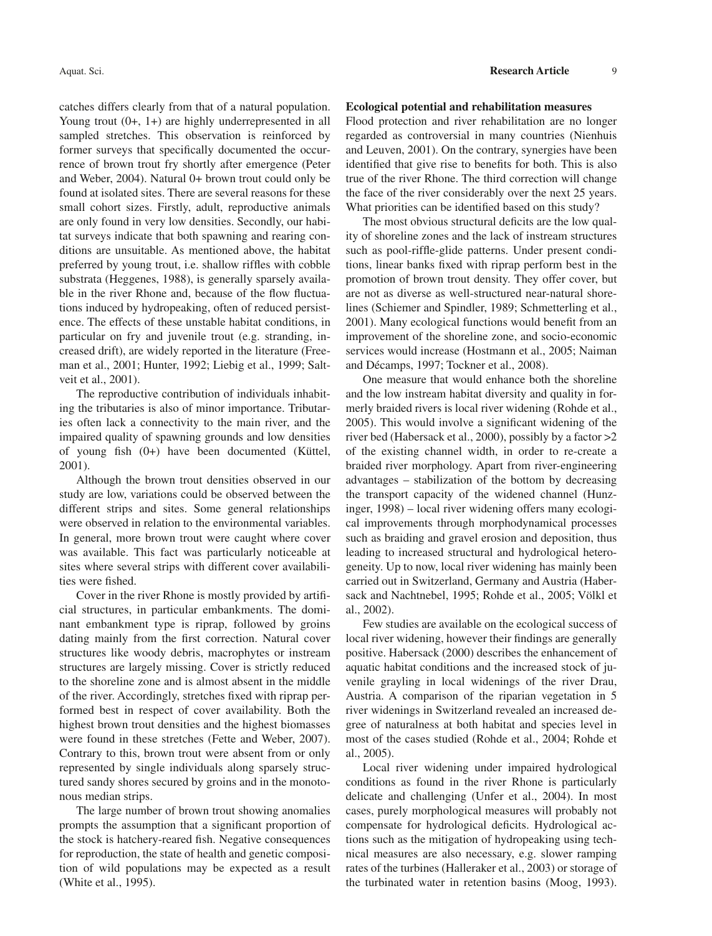catches differs clearly from that of a natural population. Young trout  $(0+, 1+)$  are highly underrepresented in all sampled stretches. This observation is reinforced by former surveys that specifically documented the occurrence of brown trout fry shortly after emergence (Peter and Weber, 2004). Natural 0+ brown trout could only be found at isolated sites. There are several reasons for these small cohort sizes. Firstly, adult, reproductive animals are only found in very low densities. Secondly, our habitat surveys indicate that both spawning and rearing conditions are unsuitable. As mentioned above, the habitat preferred by young trout, i.e. shallow riffles with cobble substrata (Heggenes, 1988), is generally sparsely available in the river Rhone and, because of the flow fluctuations induced by hydropeaking, often of reduced persistence. The effects of these unstable habitat conditions, in particular on fry and juvenile trout (e.g. stranding, increased drift), are widely reported in the literature (Freeman et al., 2001; Hunter, 1992; Liebig et al., 1999; Saltveit et al., 2001).

The reproductive contribution of individuals inhabiting the tributaries is also of minor importance. Tributaries often lack a connectivity to the main river, and the impaired quality of spawning grounds and low densities of young fish (0+) have been documented (Küttel, 2001).

Although the brown trout densities observed in our study are low, variations could be observed between the different strips and sites. Some general relationships were observed in relation to the environmental variables. In general, more brown trout were caught where cover was available. This fact was particularly noticeable at sites where several strips with different cover availabilities were fished.

Cover in the river Rhone is mostly provided by artifi cial structures, in particular embankments. The dominant embankment type is riprap, followed by groins dating mainly from the first correction. Natural cover structures like woody debris, macrophytes or instream structures are largely missing. Cover is strictly reduced to the shoreline zone and is almost absent in the middle of the river. Accordingly, stretches fixed with riprap performed best in respect of cover availability. Both the highest brown trout densities and the highest biomasses were found in these stretches (Fette and Weber, 2007). Contrary to this, brown trout were absent from or only represented by single individuals along sparsely structured sandy shores secured by groins and in the monotonous median strips.

The large number of brown trout showing anomalies prompts the assumption that a significant proportion of the stock is hatchery-reared fish. Negative consequences for reproduction, the state of health and genetic composition of wild populations may be expected as a result (White et al., 1995).

#### **Ecological potential and rehabilitation measures**

Flood protection and river rehabilitation are no longer regarded as controversial in many countries (Nienhuis and Leuven, 2001). On the contrary, synergies have been identified that give rise to benefits for both. This is also true of the river Rhone. The third correction will change the face of the river considerably over the next 25 years. What priorities can be identified based on this study?

The most obvious structural deficits are the low quality of shoreline zones and the lack of instream structures such as pool-riffle-glide patterns. Under present conditions, linear banks fixed with riprap perform best in the promotion of brown trout density. They offer cover, but are not as diverse as well-structured near-natural shorelines (Schiemer and Spindler, 1989; Schmetterling et al., 2001). Many ecological functions would benefit from an improvement of the shoreline zone, and socio-economic services would increase (Hostmann et al., 2005; Naiman and Décamps, 1997; Tockner et al., 2008).

One measure that would enhance both the shoreline and the low instream habitat diversity and quality in formerly braided rivers is local river widening (Rohde et al., 2005). This would involve a significant widening of the river bed (Habersack et al., 2000), possibly by a factor >2 of the existing channel width, in order to re-create a braided river morphology. Apart from river-engineering advantages – stabilization of the bottom by decreasing the transport capacity of the widened channel (Hunzinger, 1998) – local river widening offers many ecological improvements through morphodynamical processes such as braiding and gravel erosion and deposition, thus leading to increased structural and hydrological heterogeneity. Up to now, local river widening has mainly been carried out in Switzerland, Germany and Austria (Habersack and Nachtnebel, 1995; Rohde et al., 2005; Völkl et al., 2002).

Few studies are available on the ecological success of local river widening, however their findings are generally positive. Habersack (2000) describes the enhancement of aquatic habitat conditions and the increased stock of juvenile grayling in local widenings of the river Drau, Austria. A comparison of the riparian vegetation in 5 river widenings in Switzerland revealed an increased degree of naturalness at both habitat and species level in most of the cases studied (Rohde et al., 2004; Rohde et al., 2005).

Local river widening under impaired hydrological conditions as found in the river Rhone is particularly delicate and challenging (Unfer et al., 2004). In most cases, purely morphological measures will probably not compensate for hydrological deficits. Hydrological actions such as the mitigation of hydropeaking using technical measures are also necessary, e.g. slower ramping rates of the turbines (Halleraker et al., 2003) or storage of the turbinated water in retention basins (Moog, 1993).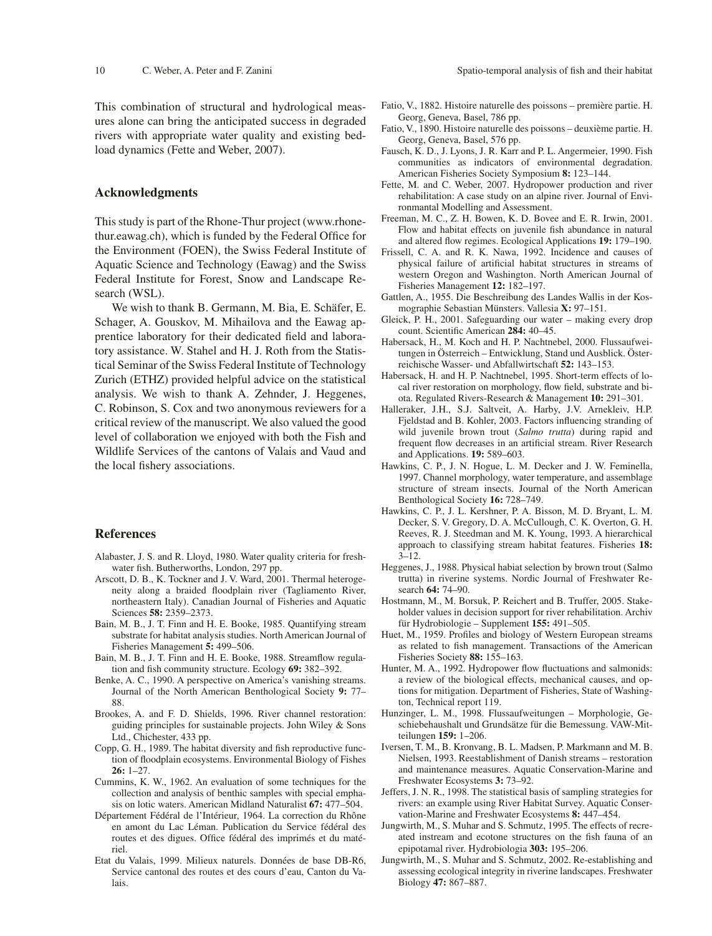This combination of structural and hydrological measures alone can bring the anticipated success in degraded rivers with appropriate water quality and existing bedload dynamics (Fette and Weber, 2007).

#### **Acknowledgments**

This study is part of the Rhone-Thur project (www.rhonethur.eawag.ch), which is funded by the Federal Office for the Environment (FOEN), the Swiss Federal Institute of Aquatic Science and Technology (Eawag) and the Swiss Federal Institute for Forest, Snow and Landscape Research (WSL).

We wish to thank B. Germann, M. Bia, E. Schäfer, E. Schager, A. Gouskov, M. Mihailova and the Eawag apprentice laboratory for their dedicated field and laboratory assistance. W. Stahel and H. J. Roth from the Statistical Seminar of the Swiss Federal Institute of Technology Zurich (ETHZ) provided helpful advice on the statistical analysis. We wish to thank A. Zehnder, J. Heggenes, C. Robinson, S. Cox and two anonymous reviewers for a critical review of the manuscript. We also valued the good level of collaboration we enjoyed with both the Fish and Wildlife Services of the cantons of Valais and Vaud and the local fishery associations.

#### **References**

- Alabaster, J. S. and R. Lloyd, 1980. Water quality criteria for freshwater fish. Butherworths, London, 297 pp.
- Arscott, D. B., K. Tockner and J. V. Ward, 2001. Thermal heterogeneity along a braided floodplain river (Tagliamento River, northeastern Italy). Canadian Journal of Fisheries and Aquatic Sciences **58:** 2359–2373.
- Bain, M. B., J. T. Finn and H. E. Booke, 1985. Quantifying stream substrate for habitat analysis studies. North American Journal of Fisheries Management **5:** 499–506.
- Bain, M. B., J. T. Finn and H. E. Booke, 1988. Streamflow regulation and fish community structure. Ecology **69:** 382–392.
- Benke, A. C., 1990. A perspective on America's vanishing streams. Journal of the North American Benthological Society **9:** 77– 88.
- Brookes, A. and F. D. Shields, 1996. River channel restoration: guiding principles for sustainable projects. John Wiley & Sons Ltd., Chichester, 433 pp.
- Copp, G. H., 1989. The habitat diversity and fish reproductive function of floodplain ecosystems. Environmental Biology of Fishes **26:** 1–27.
- Cummins, K. W., 1962. An evaluation of some techniques for the collection and analysis of benthic samples with special emphasis on lotic waters. American Midland Naturalist **67:** 477–504.
- Département Fédéral de l'Intérieur, 1964. La correction du Rhône en amont du Lac Léman. Publication du Service fédéral des routes et des digues. Office fédéral des imprimés et du matériel.
- Etat du Valais, 1999. Milieux naturels. Données de base DB-R6, Service cantonal des routes et des cours d'eau, Canton du Valais.
- Fatio, V., 1882. Histoire naturelle des poissons première partie. H. Georg, Geneva, Basel, 786 pp.
- Fatio, V., 1890. Histoire naturelle des poissons deuxième partie. H. Georg, Geneva, Basel, 576 pp.
- Fausch, K. D., J. Lyons, J. R. Karr and P. L. Angermeier, 1990. Fish communities as indicators of environmental degradation. American Fisheries Society Symposium **8:** 123–144.
- Fette, M. and C. Weber, 2007. Hydropower production and river rehabilitation: A case study on an alpine river. Journal of Environmantal Modelling and Assessment.
- Freeman, M. C., Z. H. Bowen, K. D. Bovee and E. R. Irwin, 2001. Flow and habitat effects on juvenile fish abundance in natural and altered flow regimes. Ecological Applications **19:** 179–190.
- Frissell, C. A. and R. K. Nawa, 1992. Incidence and causes of physical failure of artificial habitat structures in streams of western Oregon and Washington. North American Journal of Fisheries Management **12:** 182–197.
- Gattlen, A., 1955. Die Beschreibung des Landes Wallis in der Kosmographie Sebastian Münsters. Vallesia **X:** 97–151.
- Gleick, P. H., 2001. Safeguarding our water making every drop count. Scientific American 284: 40–45.
- Habersack, H., M. Koch and H. P. Nachtnebel, 2000. Flussaufweitungen in Österreich – Entwicklung, Stand und Ausblick. Österreichische Wasser- und Abfallwirtschaft **52:** 143–153.
- Habersack, H. and H. P. Nachtnebel, 1995. Short-term effects of local river restoration on morphology, flow field, substrate and biota. Regulated Rivers-Research & Management **10:** 291–301.
- Halleraker, J.H., S.J. Saltveit, A. Harby, J.V. Arnekleiv, H.P. Fjeldstad and B. Kohler, 2003. Factors influencing stranding of wild juvenile brown trout (*Salmo trutta*) during rapid and frequent flow decreases in an artificial stream. River Research and Applications. **19:** 589–603.
- Hawkins, C. P., J. N. Hogue, L. M. Decker and J. W. Feminella, 1997. Channel morphology, water temperature, and assemblage structure of stream insects. Journal of the North American Benthological Society **16:** 728–749.
- Hawkins, C. P., J. L. Kershner, P. A. Bisson, M. D. Bryant, L. M. Decker, S. V. Gregory, D. A. McCullough, C. K. Overton, G. H. Reeves, R. J. Steedman and M. K. Young, 1993. A hierarchical approach to classifying stream habitat features. Fisheries **18:** 3–12.
- Heggenes, J., 1988. Physical habiat selection by brown trout (Salmo trutta) in riverine systems. Nordic Journal of Freshwater Research **64:** 74–90.
- Hostmann, M., M. Borsuk, P. Reichert and B. Truffer, 2005. Stakeholder values in decision support for river rehabilitation. Archiv für Hydrobiologie – Supplement **155:** 491–505.
- Huet, M., 1959. Profiles and biology of Western European streams as related to fish management. Transactions of the American Fisheries Society **88:** 155–163.
- Hunter, M. A., 1992. Hydropower flow fluctuations and salmonids: a review of the biological effects, mechanical causes, and options for mitigation. Department of Fisheries, State of Washington, Technical report 119.
- Hunzinger, L. M., 1998. Flussaufweitungen Morphologie, Geschiebehaushalt und Grundsätze für die Bemessung. VAW-Mitteilungen **159:** 1–206.
- Iversen, T. M., B. Kronvang, B. L. Madsen, P. Markmann and M. B. Nielsen, 1993. Reestablishment of Danish streams – restoration and maintenance measures. Aquatic Conservation-Marine and Freshwater Ecosystems **3:** 73–92.
- Jeffers, J. N. R., 1998. The statistical basis of sampling strategies for rivers: an example using River Habitat Survey. Aquatic Conservation-Marine and Freshwater Ecosystems **8:** 447–454.
- Jungwirth, M., S. Muhar and S. Schmutz, 1995. The effects of recreated instream and ecotone structures on the fish fauna of an epipotamal river. Hydrobiologia **303:** 195–206.
- Jungwirth, M., S. Muhar and S. Schmutz, 2002. Re-establishing and assessing ecological integrity in riverine landscapes. Freshwater Biology **47:** 867–887.